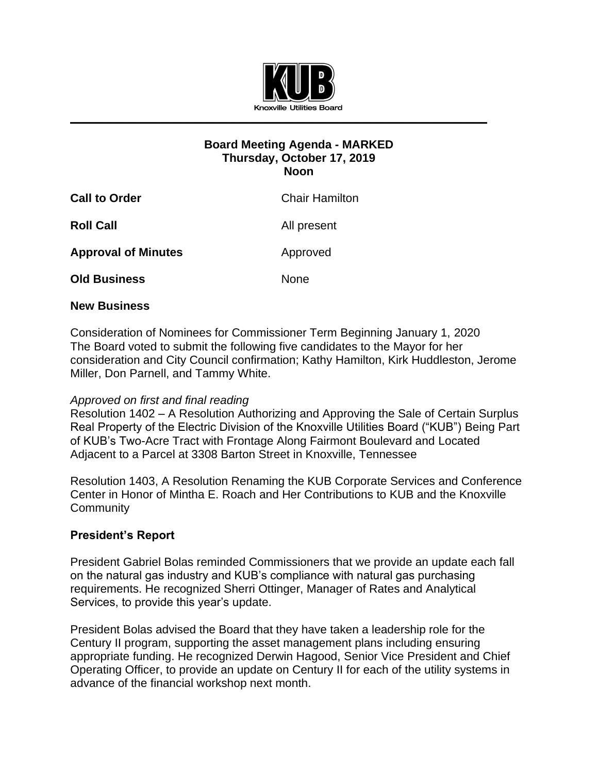

## **Board Meeting Agenda - MARKED Thursday, October 17, 2019 Noon**

| <b>Call to Order</b>       | <b>Chair Hamilton</b> |
|----------------------------|-----------------------|
| <b>Roll Call</b>           | All present           |
| <b>Approval of Minutes</b> | Approved              |
| <b>Old Business</b>        | <b>None</b>           |

## **New Business**

Consideration of Nominees for Commissioner Term Beginning January 1, 2020 The Board voted to submit the following five candidates to the Mayor for her consideration and City Council confirmation; Kathy Hamilton, Kirk Huddleston, Jerome Miller, Don Parnell, and Tammy White.

## *Approved on first and final reading*

Resolution 1402 – A Resolution Authorizing and Approving the Sale of Certain Surplus Real Property of the Electric Division of the Knoxville Utilities Board ("KUB") Being Part of KUB's Two-Acre Tract with Frontage Along Fairmont Boulevard and Located Adjacent to a Parcel at 3308 Barton Street in Knoxville, Tennessee

Resolution 1403, A Resolution Renaming the KUB Corporate Services and Conference Center in Honor of Mintha E. Roach and Her Contributions to KUB and the Knoxville **Community** 

## **President's Report**

President Gabriel Bolas reminded Commissioners that we provide an update each fall on the natural gas industry and KUB's compliance with natural gas purchasing requirements. He recognized Sherri Ottinger, Manager of Rates and Analytical Services, to provide this year's update.

President Bolas advised the Board that they have taken a leadership role for the Century II program, supporting the asset management plans including ensuring appropriate funding. He recognized Derwin Hagood, Senior Vice President and Chief Operating Officer, to provide an update on Century II for each of the utility systems in advance of the financial workshop next month.